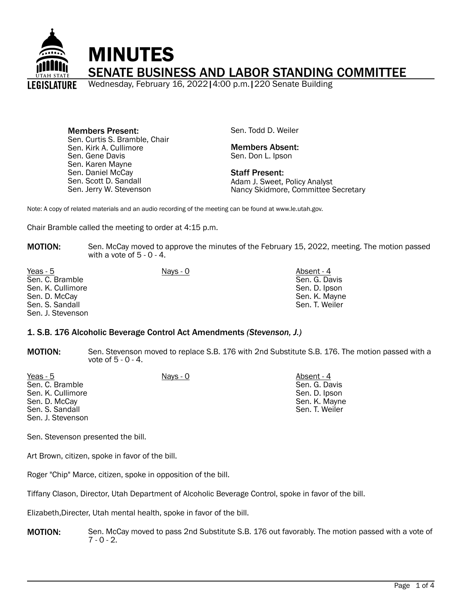

Members Present: Sen. Curtis S. Bramble, Chair Sen. Kirk A. Cullimore Sen. Gene Davis Sen. Karen Mayne Sen. Daniel McCay Sen. Scott D. Sandall Sen. Jerry W. Stevenson

Sen. Todd D. Weiler

Members Absent: Sen. Don L. Ipson

Staff Present: Adam J. Sweet, Policy Analyst Nancy Skidmore, Committee Secretary

Note: A copy of related materials and an audio recording of the meeting can be found at www.le.utah.gov.

Chair Bramble called the meeting to order at 4:15 p.m.

MOTION: Sen. McCay moved to approve the minutes of the February 15, 2022, meeting. The motion passed with a vote of  $5 - 0 - 4$ .

| Yeas - 5          | Nays - 0 | Absent - 4     |
|-------------------|----------|----------------|
| Sen. C. Bramble   |          | Sen. G. Davis  |
| Sen. K. Cullimore |          | Sen. D. Ipson  |
| Sen. D. McCay     |          | Sen. K. Mayne  |
| Sen. S. Sandall   |          | Sen. T. Weiler |
| Sen. J. Stevenson |          |                |

#### 1. S.B. 176 Alcoholic Beverage Control Act Amendments *(Stevenson, J.)*

MOTION: Sen. Stevenson moved to replace S.B. 176 with 2nd Substitute S.B. 176. The motion passed with a vote of 5 - 0 - 4.

| Yeas - 5          | Nays - 0 | Absent - 4     |
|-------------------|----------|----------------|
| Sen. C. Bramble   |          | Sen. G. Davis  |
| Sen. K. Cullimore |          | Sen. D. Ipson  |
| Sen. D. McCay     |          | Sen. K. Mayne  |
| Sen, S. Sandall   |          | Sen. T. Weiler |
| Sen. J. Stevenson |          |                |

Sen. Stevenson presented the bill.

Art Brown, citizen, spoke in favor of the bill.

Roger "Chip" Marce, citizen, spoke in opposition of the bill.

Tiffany Clason, Director, Utah Department of Alcoholic Beverage Control, spoke in favor of the bill.

Elizabeth,Directer, Utah mental health, spoke in favor of the bill.

MOTION: Sen. McCay moved to pass 2nd Substitute S.B. 176 out favorably. The motion passed with a vote of  $7 - 0 - 2$ .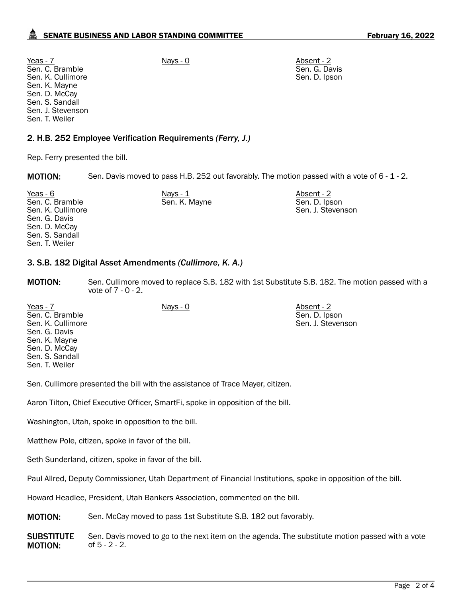Yeas - 7 Nays - 0 Nays - 0 Nays - 0 Absent - 2 Sen. C. Bramble Sen. K. Cullimore Sen. K. Mayne Sen. D. McCay Sen. S. Sandall Sen. J. Stevenson Sen. T. Weiler

2. H.B. 252 Employee Verification Requirements *(Ferry, J.)*

Rep. Ferry presented the bill.

**MOTION:** Sen. Davis moved to pass H.B. 252 out favorably. The motion passed with a vote of 6 - 1 - 2.

| Yeas - 6                             | Nays - 1      | Absent - 2                         |
|--------------------------------------|---------------|------------------------------------|
| Sen. C. Bramble<br>Sen. K. Cullimore | Sen. K. Mayne | Sen. D. Ipson<br>Sen. J. Stevenson |
| Sen. G. Davis                        |               |                                    |
| Sen. D. McCay<br>Sen. S. Sandall     |               |                                    |
| Sen. T. Weiler                       |               |                                    |
|                                      |               |                                    |

### 3. S.B. 182 Digital Asset Amendments *(Cullimore, K. A.)*

**MOTION:** Sen. Cullimore moved to replace S.B. 182 with 1st Substitute S.B. 182. The motion passed with a vote of 7 - 0 - 2.

Yeas - 7 Nays - 0 Nays - 0 Absent - 2 Sen. C. Bramble Sen. K. Cullimore Sen. G. Davis Sen. K. Mayne Sen. D. McCay Sen. S. Sandall Sen. T. Weiler Sen. D. Ipson Sen. J. Stevenson

Sen. Cullimore presented the bill with the assistance of Trace Mayer, citizen.

Aaron Tilton, Chief Executive Officer, SmartFi, spoke in opposition of the bill.

Washington, Utah, spoke in opposition to the bill.

Matthew Pole, citizen, spoke in favor of the bill.

Seth Sunderland, citizen, spoke in favor of the bill.

Paul Allred, Deputy Commissioner, Utah Department of Financial Institutions, spoke in opposition of the bill.

Howard Headlee, President, Utah Bankers Association, commented on the bill.

**MOTION:** Sen. McCay moved to pass 1st Substitute S.B. 182 out favorably.

**SUBSTITUTE** MOTION: Sen. Davis moved to go to the next item on the agenda. The substitute motion passed with a vote of 5 - 2 - 2.

Sen. G. Davis Sen. D. Ipson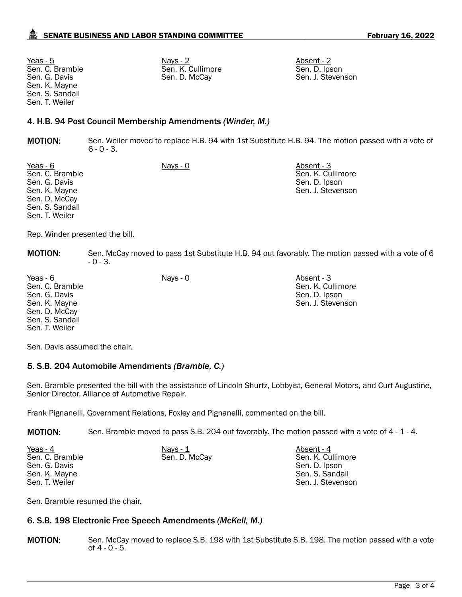Sen. C. Bramble Sen. G. Davis Sen. K. Mayne Sen. S. Sandall Sen. T. Weiler

<u>Yeas - 5</u> Nays - 2 Nays - 2 Absent - 2 Absent - 2 Absent - 2 Absent - 2 Absent - 2 Absent - 2 Absent - 2 Absent - 2 Sen. K. Cullimore Sen. D. McCay

Sen. D. Ipson Sen. J. Stevenson

## 4. H.B. 94 Post Council Membership Amendments *(Winder, M.)*

MOTION: Sen. Weiler moved to replace H.B. 94 with 1st Substitute H.B. 94. The motion passed with a vote of  $6 - 0 - 3$ .

Yeas - 6 Nays - 0 Nays - 0 Absent - 3 Sen. C. Bramble Sen. G. Davis Sen. K. Mayne Sen. D. McCay Sen. S. Sandall Sen. T. Weiler

Sen. K. Cullimore Sen. D. Ipson Sen. J. Stevenson

Rep. Winder presented the bill.

MOTION: Sen. McCay moved to pass 1st Substitute H.B. 94 out favorably. The motion passed with a vote of 6 - 0 - 3.

Yeas - 6 Nays - 0 Absent - 3 Sen. C. Bramble Sen. G. Davis Sen. K. Mayne Sen. D. McCay Sen. S. Sandall Sen. T. Weiler

Sen. K. Cullimore Sen. D. Ipson Sen. J. Stevenson

Sen. Davis assumed the chair.

### 5. S.B. 204 Automobile Amendments *(Bramble, C.)*

Sen. Bramble presented the bill with the assistance of Lincoln Shurtz, Lobbyist, General Motors, and Curt Augustine, Senior Director, Alliance of Automotive Repair.

Frank Pignanelli, Government Relations, Foxley and Pignanelli, commented on the bill.

MOTION: Sen. Bramble moved to pass S.B. 204 out favorably. The motion passed with a vote of 4 - 1 - 4.

| Yeas - 4        | Nays $-1$     | Absent - 4        |
|-----------------|---------------|-------------------|
| Sen. C. Bramble | Sen. D. McCay | Sen. K. Cullimore |
| Sen. G. Davis   |               | Sen. D. Ipson     |
| Sen. K. Mayne   |               | Sen. S. Sandall   |
| Sen. T. Weiler  |               | Sen. J. Stevenson |

Sen. Bramble resumed the chair.

### 6. S.B. 198 Electronic Free Speech Amendments *(McKell, M.)*

MOTION: Sen. McCay moved to replace S.B. 198 with 1st Substitute S.B. 198. The motion passed with a vote of  $4 - 0 - 5$ .